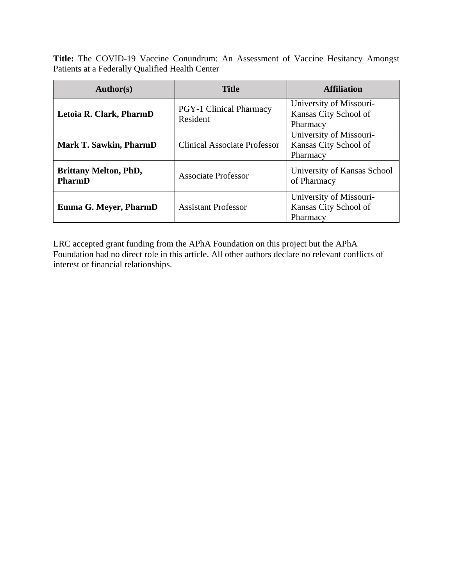**Title:** The COVID-19 Vaccine Conundrum: An Assessment of Vaccine Hesitancy Amongst Patients at a Federally Qualified Health Center

| <b>Author(s)</b>                       | <b>Title</b>                               | <b>Affiliation</b>                                           |
|----------------------------------------|--------------------------------------------|--------------------------------------------------------------|
| Letoia R. Clark, PharmD                | <b>PGY-1 Clinical Pharmacy</b><br>Resident | University of Missouri-<br>Kansas City School of<br>Pharmacy |
| <b>Mark T. Sawkin, PharmD</b>          | <b>Clinical Associate Professor</b>        | University of Missouri-<br>Kansas City School of<br>Pharmacy |
| <b>Brittany Melton, PhD,</b><br>PharmD | Associate Professor                        | University of Kansas School<br>of Pharmacy                   |
| <b>Emma G. Meyer, PharmD</b>           | <b>Assistant Professor</b>                 | University of Missouri-<br>Kansas City School of<br>Pharmacy |

LRC accepted grant funding from the APhA Foundation on this project but the APhA Foundation had no direct role in this article. All other authors declare no relevant conflicts of interest or financial relationships.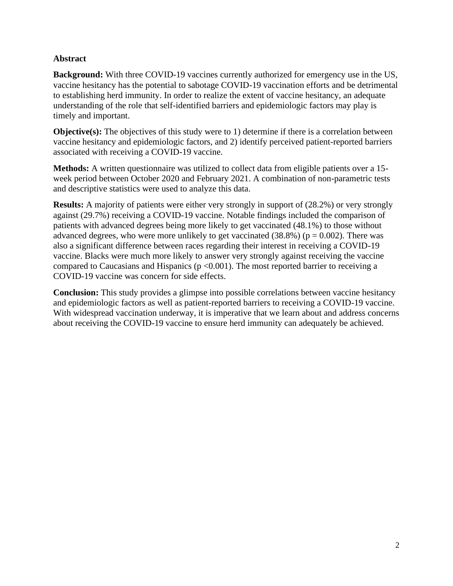## **Abstract**

**Background:** With three COVID-19 vaccines currently authorized for emergency use in the US, vaccine hesitancy has the potential to sabotage COVID-19 vaccination efforts and be detrimental to establishing herd immunity. In order to realize the extent of vaccine hesitancy, an adequate understanding of the role that self-identified barriers and epidemiologic factors may play is timely and important.

**Objective(s):** The objectives of this study were to 1) determine if there is a correlation between vaccine hesitancy and epidemiologic factors, and 2) identify perceived patient-reported barriers associated with receiving a COVID-19 vaccine.

**Methods:** A written questionnaire was utilized to collect data from eligible patients over a 15 week period between October 2020 and February 2021. A combination of non-parametric tests and descriptive statistics were used to analyze this data.

**Results:** A majority of patients were either very strongly in support of (28.2%) or very strongly against (29.7%) receiving a COVID-19 vaccine. Notable findings included the comparison of patients with advanced degrees being more likely to get vaccinated (48.1%) to those without advanced degrees, who were more unlikely to get vaccinated  $(38.8%)$  ( $p = 0.002$ ). There was also a significant difference between races regarding their interest in receiving a COVID-19 vaccine. Blacks were much more likely to answer very strongly against receiving the vaccine compared to Caucasians and Hispanics ( $p \le 0.001$ ). The most reported barrier to receiving a COVID-19 vaccine was concern for side effects.

**Conclusion:** This study provides a glimpse into possible correlations between vaccine hesitancy and epidemiologic factors as well as patient-reported barriers to receiving a COVID-19 vaccine. With widespread vaccination underway, it is imperative that we learn about and address concerns about receiving the COVID-19 vaccine to ensure herd immunity can adequately be achieved.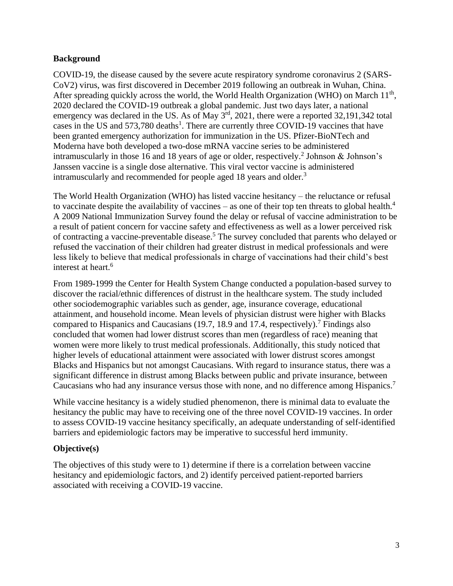#### **Background**

COVID-19, the disease caused by the severe acute respiratory syndrome coronavirus 2 (SARS-CoV2) virus, was first discovered in December 2019 following an outbreak in Wuhan, China. After spreading quickly across the world, the World Health Organization (WHO) on March  $11<sup>th</sup>$ , 2020 declared the COVID-19 outbreak a global pandemic. Just two days later, a national emergency was declared in the US. As of May 3<sup>rd</sup>, 2021, there were a reported 32,191,342 total cases in the US and  $573,780$  deaths<sup>1</sup>. There are currently three COVID-19 vaccines that have been granted emergency authorization for immunization in the US. Pfizer-BioNTech and Moderna have both developed a two-dose mRNA vaccine series to be administered intramuscularly in those 16 and 18 years of age or older, respectively.<sup>2</sup> Johnson & Johnson's Janssen vaccine is a single dose alternative. This viral vector vaccine is administered intramuscularly and recommended for people aged 18 years and older.<sup>3</sup>

The World Health Organization (WHO) has listed vaccine hesitancy – the reluctance or refusal to vaccinate despite the availability of vaccines – as one of their top ten threats to global health.<sup>4</sup> A 2009 National Immunization Survey found the delay or refusal of vaccine administration to be a result of patient concern for vaccine safety and effectiveness as well as a lower perceived risk of contracting a vaccine-preventable disease.<sup>5</sup> The survey concluded that parents who delayed or refused the vaccination of their children had greater distrust in medical professionals and were less likely to believe that medical professionals in charge of vaccinations had their child's best interest at heart.<sup>6</sup>

From 1989-1999 the Center for Health System Change conducted a population-based survey to discover the racial/ethnic differences of distrust in the healthcare system. The study included other sociodemographic variables such as gender, age, insurance coverage, educational attainment, and household income. Mean levels of physician distrust were higher with Blacks compared to Hispanics and Caucasians (19.7, 18.9 and 17.4, respectively).<sup>7</sup> Findings also concluded that women had lower distrust scores than men (regardless of race) meaning that women were more likely to trust medical professionals. Additionally, this study noticed that higher levels of educational attainment were associated with lower distrust scores amongst Blacks and Hispanics but not amongst Caucasians. With regard to insurance status, there was a significant difference in distrust among Blacks between public and private insurance, between Caucasians who had any insurance versus those with none, and no difference among Hispanics.<sup>7</sup>

While vaccine hesitancy is a widely studied phenomenon, there is minimal data to evaluate the hesitancy the public may have to receiving one of the three novel COVID-19 vaccines. In order to assess COVID-19 vaccine hesitancy specifically, an adequate understanding of self-identified barriers and epidemiologic factors may be imperative to successful herd immunity.

## **Objective(s)**

The objectives of this study were to 1) determine if there is a correlation between vaccine hesitancy and epidemiologic factors, and 2) identify perceived patient-reported barriers associated with receiving a COVID-19 vaccine.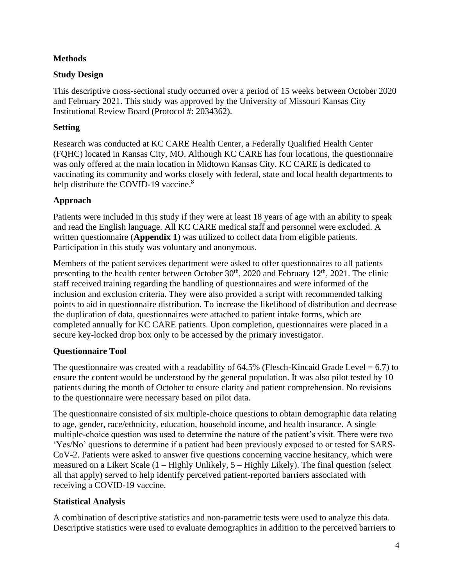## **Methods**

# **Study Design**

This descriptive cross-sectional study occurred over a period of 15 weeks between October 2020 and February 2021. This study was approved by the University of Missouri Kansas City Institutional Review Board (Protocol #: 2034362).

# **Setting**

Research was conducted at KC CARE Health Center, a Federally Qualified Health Center (FQHC) located in Kansas City, MO. Although KC CARE has four locations, the questionnaire was only offered at the main location in Midtown Kansas City. KC CARE is dedicated to vaccinating its community and works closely with federal, state and local health departments to help distribute the COVID-19 vaccine.<sup>8</sup>

# **Approach**

Patients were included in this study if they were at least 18 years of age with an ability to speak and read the English language. All KC CARE medical staff and personnel were excluded. A written questionnaire (**Appendix 1**) was utilized to collect data from eligible patients. Participation in this study was voluntary and anonymous.

Members of the patient services department were asked to offer questionnaires to all patients presenting to the health center between October  $30<sup>th</sup>$ , 2020 and February 12<sup>th</sup>, 2021. The clinic staff received training regarding the handling of questionnaires and were informed of the inclusion and exclusion criteria. They were also provided a script with recommended talking points to aid in questionnaire distribution. To increase the likelihood of distribution and decrease the duplication of data, questionnaires were attached to patient intake forms, which are completed annually for KC CARE patients. Upon completion, questionnaires were placed in a secure key-locked drop box only to be accessed by the primary investigator.

## **Questionnaire Tool**

The questionnaire was created with a readability of  $64.5\%$  (Flesch-Kincaid Grade Level = 6.7) to ensure the content would be understood by the general population. It was also pilot tested by 10 patients during the month of October to ensure clarity and patient comprehension. No revisions to the questionnaire were necessary based on pilot data.

The questionnaire consisted of six multiple-choice questions to obtain demographic data relating to age, gender, race/ethnicity, education, household income, and health insurance. A single multiple-choice question was used to determine the nature of the patient's visit. There were two 'Yes/No' questions to determine if a patient had been previously exposed to or tested for SARS-CoV-2. Patients were asked to answer five questions concerning vaccine hesitancy, which were measured on a Likert Scale (1 – Highly Unlikely, 5 – Highly Likely). The final question (select all that apply) served to help identify perceived patient-reported barriers associated with receiving a COVID-19 vaccine.

## **Statistical Analysis**

A combination of descriptive statistics and non-parametric tests were used to analyze this data. Descriptive statistics were used to evaluate demographics in addition to the perceived barriers to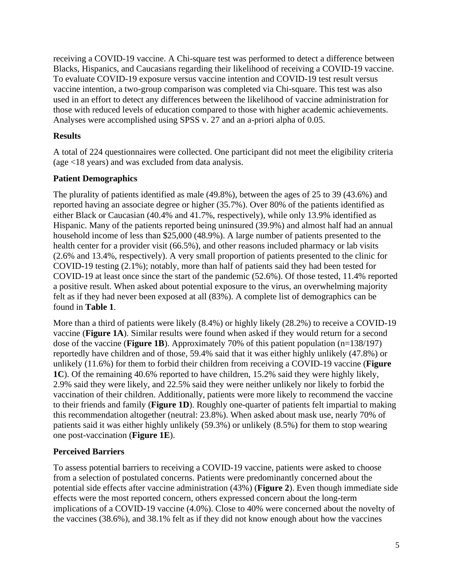receiving a COVID-19 vaccine. A Chi-square test was performed to detect a difference between Blacks, Hispanics, and Caucasians regarding their likelihood of receiving a COVID-19 vaccine. To evaluate COVID-19 exposure versus vaccine intention and COVID-19 test result versus vaccine intention, a two-group comparison was completed via Chi-square. This test was also used in an effort to detect any differences between the likelihood of vaccine administration for those with reduced levels of education compared to those with higher academic achievements. Analyses were accomplished using SPSS v. 27 and an a-priori alpha of 0.05.

#### **Results**

A total of 224 questionnaires were collected. One participant did not meet the eligibility criteria (age <18 years) and was excluded from data analysis.

#### **Patient Demographics**

The plurality of patients identified as male (49.8%), between the ages of 25 to 39 (43.6%) and reported having an associate degree or higher (35.7%). Over 80% of the patients identified as either Black or Caucasian (40.4% and 41.7%, respectively), while only 13.9% identified as Hispanic. Many of the patients reported being uninsured (39.9%) and almost half had an annual household income of less than \$25,000 (48.9%). A large number of patients presented to the health center for a provider visit (66.5%), and other reasons included pharmacy or lab visits (2.6% and 13.4%, respectively). A very small proportion of patients presented to the clinic for COVID-19 testing (2.1%); notably, more than half of patients said they had been tested for COVID-19 at least once since the start of the pandemic (52.6%). Of those tested, 11.4% reported a positive result. When asked about potential exposure to the virus, an overwhelming majority felt as if they had never been exposed at all (83%). A complete list of demographics can be found in **Table 1**.

More than a third of patients were likely (8.4%) or highly likely (28.2%) to receive a COVID-19 vaccine (**Figure 1A**). Similar results were found when asked if they would return for a second dose of the vaccine (**Figure 1B**). Approximately 70% of this patient population (n=138/197) reportedly have children and of those, 59.4% said that it was either highly unlikely (47.8%) or unlikely (11.6%) for them to forbid their children from receiving a COVID-19 vaccine (**Figure 1C**). Of the remaining 40.6% reported to have children, 15.2% said they were highly likely, 2.9% said they were likely, and 22.5% said they were neither unlikely nor likely to forbid the vaccination of their children. Additionally, patients were more likely to recommend the vaccine to their friends and family (**Figure 1D**). Roughly one-quarter of patients felt impartial to making this recommendation altogether (neutral: 23.8%). When asked about mask use, nearly 70% of patients said it was either highly unlikely (59.3%) or unlikely (8.5%) for them to stop wearing one post-vaccination (**Figure 1E**).

## **Perceived Barriers**

To assess potential barriers to receiving a COVID-19 vaccine, patients were asked to choose from a selection of postulated concerns. Patients were predominantly concerned about the potential side effects after vaccine administration (43%) (**Figure 2**). Even though immediate side effects were the most reported concern, others expressed concern about the long-term implications of a COVID-19 vaccine (4.0%). Close to 40% were concerned about the novelty of the vaccines (38.6%), and 38.1% felt as if they did not know enough about how the vaccines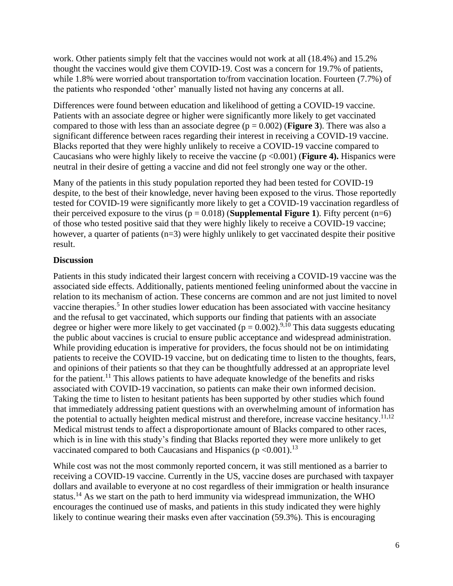work. Other patients simply felt that the vaccines would not work at all (18.4%) and 15.2% thought the vaccines would give them COVID-19. Cost was a concern for 19.7% of patients, while 1.8% were worried about transportation to/from vaccination location. Fourteen (7.7%) of the patients who responded 'other' manually listed not having any concerns at all.

Differences were found between education and likelihood of getting a COVID-19 vaccine. Patients with an associate degree or higher were significantly more likely to get vaccinated compared to those with less than an associate degree  $(p = 0.002)$  (**Figure 3**). There was also a significant difference between races regarding their interest in receiving a COVID-19 vaccine. Blacks reported that they were highly unlikely to receive a COVID-19 vaccine compared to Caucasians who were highly likely to receive the vaccine (p <0.001) (**Figure 4).** Hispanics were neutral in their desire of getting a vaccine and did not feel strongly one way or the other.

Many of the patients in this study population reported they had been tested for COVID-19 despite, to the best of their knowledge, never having been exposed to the virus. Those reportedly tested for COVID-19 were significantly more likely to get a COVID-19 vaccination regardless of their perceived exposure to the virus  $(p = 0.018)$  (**Supplemental Figure 1**). Fifty percent  $(n=6)$ of those who tested positive said that they were highly likely to receive a COVID-19 vaccine; however, a quarter of patients (n=3) were highly unlikely to get vaccinated despite their positive result.

## **Discussion**

Patients in this study indicated their largest concern with receiving a COVID-19 vaccine was the associated side effects. Additionally, patients mentioned feeling uninformed about the vaccine in relation to its mechanism of action. These concerns are common and are not just limited to novel vaccine therapies.<sup>5</sup> In other studies lower education has been associated with vaccine hesitancy and the refusal to get vaccinated, which supports our finding that patients with an associate degree or higher were more likely to get vaccinated ( $p = 0.002$ ).<sup>9,10</sup> This data suggests educating the public about vaccines is crucial to ensure public acceptance and widespread administration. While providing education is imperative for providers, the focus should not be on intimidating patients to receive the COVID-19 vaccine, but on dedicating time to listen to the thoughts, fears, and opinions of their patients so that they can be thoughtfully addressed at an appropriate level for the patient.<sup>11</sup> This allows patients to have adequate knowledge of the benefits and risks associated with COVID-19 vaccination, so patients can make their own informed decision. Taking the time to listen to hesitant patients has been supported by other studies which found that immediately addressing patient questions with an overwhelming amount of information has the potential to actually heighten medical mistrust and therefore, increase vaccine hesitancy.<sup>11,12</sup> Medical mistrust tends to affect a disproportionate amount of Blacks compared to other races, which is in line with this study's finding that Blacks reported they were more unlikely to get vaccinated compared to both Caucasians and Hispanics ( $p \le 0.001$ ).<sup>13</sup>

While cost was not the most commonly reported concern, it was still mentioned as a barrier to receiving a COVID-19 vaccine. Currently in the US, vaccine doses are purchased with taxpayer dollars and available to everyone at no cost regardless of their immigration or health insurance status.<sup>14</sup> As we start on the path to herd immunity via widespread immunization, the WHO encourages the continued use of masks, and patients in this study indicated they were highly likely to continue wearing their masks even after vaccination (59.3%). This is encouraging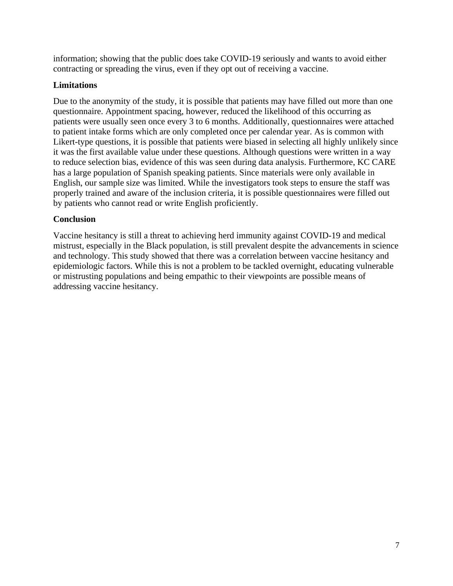information; showing that the public does take COVID-19 seriously and wants to avoid either contracting or spreading the virus, even if they opt out of receiving a vaccine.

#### **Limitations**

Due to the anonymity of the study, it is possible that patients may have filled out more than one questionnaire. Appointment spacing, however, reduced the likelihood of this occurring as patients were usually seen once every 3 to 6 months. Additionally, questionnaires were attached to patient intake forms which are only completed once per calendar year. As is common with Likert-type questions, it is possible that patients were biased in selecting all highly unlikely since it was the first available value under these questions. Although questions were written in a way to reduce selection bias, evidence of this was seen during data analysis. Furthermore, KC CARE has a large population of Spanish speaking patients. Since materials were only available in English, our sample size was limited. While the investigators took steps to ensure the staff was properly trained and aware of the inclusion criteria, it is possible questionnaires were filled out by patients who cannot read or write English proficiently.

## **Conclusion**

Vaccine hesitancy is still a threat to achieving herd immunity against COVID-19 and medical mistrust, especially in the Black population, is still prevalent despite the advancements in science and technology. This study showed that there was a correlation between vaccine hesitancy and epidemiologic factors. While this is not a problem to be tackled overnight, educating vulnerable or mistrusting populations and being empathic to their viewpoints are possible means of addressing vaccine hesitancy.